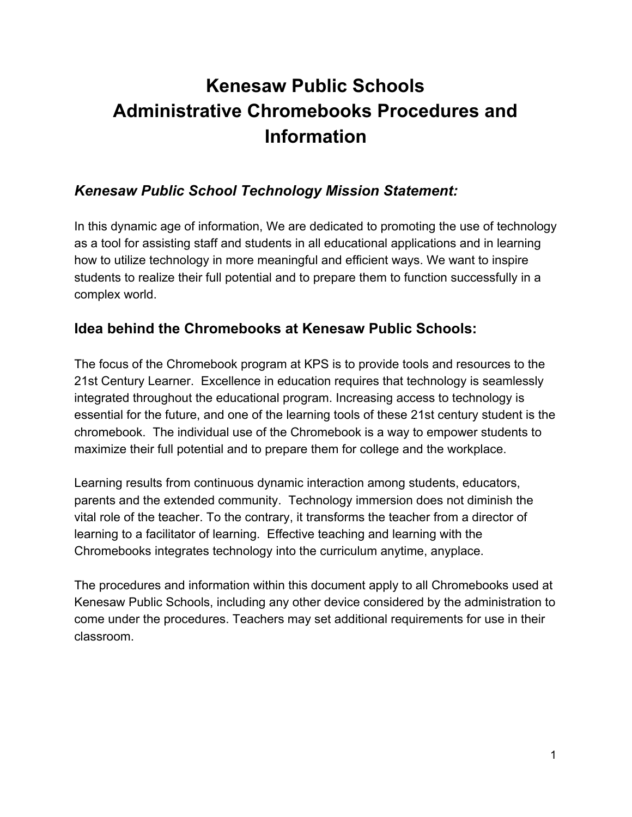# **Kenesaw Public Schools Administrative Chromebooks Procedures and Information**

# *Kenesaw Public School Technology Mission Statement:*

In this dynamic age of information, We are dedicated to promoting the use of technology as a tool for assisting staff and students in all educational applications and in learning how to utilize technology in more meaningful and efficient ways. We want to inspire students to realize their full potential and to prepare them to function successfully in a complex world.

# **Idea behind the Chromebooks at Kenesaw Public Schools:**

The focus of the Chromebook program at KPS is to provide tools and resources to the 21st Century Learner. Excellence in education requires that technology is seamlessly integrated throughout the educational program. Increasing access to technology is essential for the future, and one of the learning tools of these 21st century student is the chromebook. The individual use of the Chromebook is a way to empower students to maximize their full potential and to prepare them for college and the workplace.

Learning results from continuous dynamic interaction among students, educators, parents and the extended community. Technology immersion does not diminish the vital role of the teacher. To the contrary, it transforms the teacher from a director of learning to a facilitator of learning. Effective teaching and learning with the Chromebooks integrates technology into the curriculum anytime, anyplace.

The procedures and information within this document apply to all Chromebooks used at Kenesaw Public Schools, including any other device considered by the administration to come under the procedures. Teachers may set additional requirements for use in their classroom.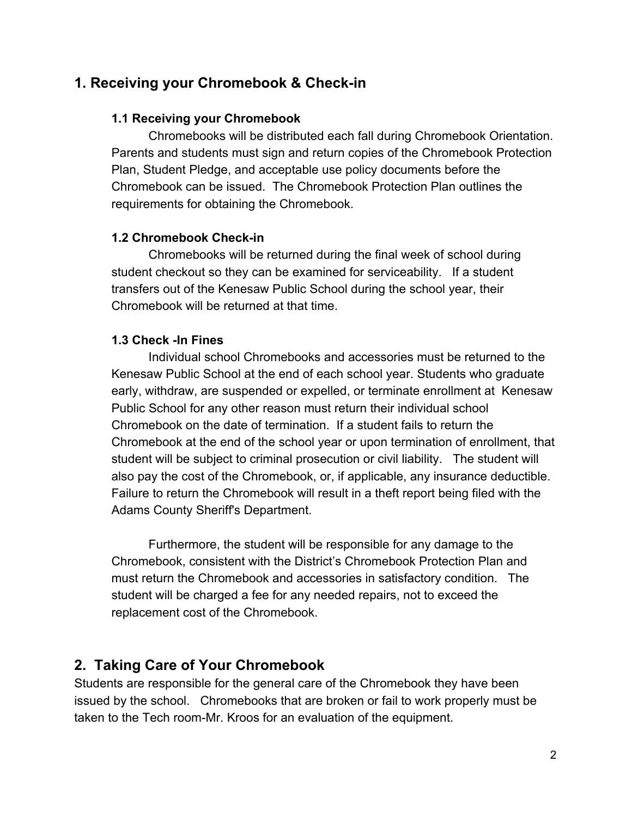# **1. Receiving your Chromebook & Check-in**

#### **1.1 Receiving your Chromebook**

Chromebooks will be distributed each fall during Chromebook Orientation. Parents and students must sign and return copies of the Chromebook Protection Plan, Student Pledge, and acceptable use policy documents before the Chromebook can be issued. The Chromebook Protection Plan outlines the requirements for obtaining the Chromebook.

#### **1.2 Chromebook Check-in**

Chromebooks will be returned during the final week of school during student checkout so they can be examined for serviceability. If a student transfers out of the Kenesaw Public School during the school year, their Chromebook will be returned at that time.

#### **1.3 Check -In Fines**

Individual school Chromebooks and accessories must be returned to the Kenesaw Public School at the end of each school year. Students who graduate early, withdraw, are suspended or expelled, or terminate enrollment at Kenesaw Public School for any other reason must return their individual school Chromebook on the date of termination. If a student fails to return the Chromebook at the end of the school year or upon termination of enrollment, that student will be subject to criminal prosecution or civil liability. The student will also pay the cost of the Chromebook, or, if applicable, any insurance deductible. Failure to return the Chromebook will result in a theft report being filed with the Adams County Sheriff's Department.

Furthermore, the student will be responsible for any damage to the Chromebook, consistent with the District's Chromebook Protection Plan and must return the Chromebook and accessories in satisfactory condition. The student will be charged a fee for any needed repairs, not to exceed the replacement cost of the Chromebook.

# **2. Taking Care of Your Chromebook**

Students are responsible for the general care of the Chromebook they have been issued by the school. Chromebooks that are broken or fail to work properly must be taken to the Tech room-Mr. Kroos for an evaluation of the equipment.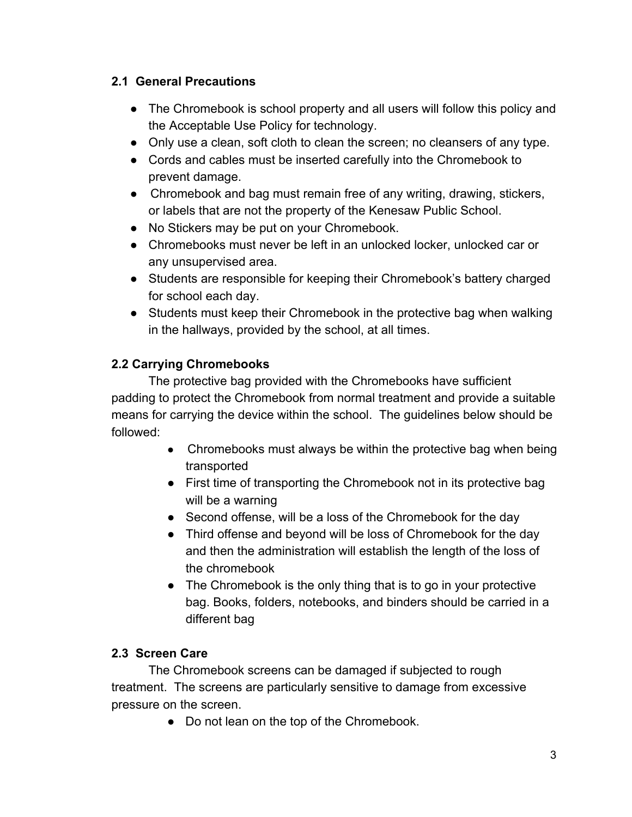#### **2.1 General Precautions**

- The Chromebook is school property and all users will follow this policy and the Acceptable Use Policy for technology.
- Only use a clean, soft cloth to clean the screen; no cleansers of any type.
- Cords and cables must be inserted carefully into the Chromebook to prevent damage.
- Chromebook and bag must remain free of any writing, drawing, stickers, or labels that are not the property of the Kenesaw Public School.
- No Stickers may be put on your Chromebook.
- Chromebooks must never be left in an unlocked locker, unlocked car or any unsupervised area.
- Students are responsible for keeping their Chromebook's battery charged for school each day.
- Students must keep their Chromebook in the protective bag when walking in the hallways, provided by the school, at all times.

# **2.2 Carrying Chromebooks**

The protective bag provided with the Chromebooks have sufficient padding to protect the Chromebook from normal treatment and provide a suitable means for carrying the device within the school. The guidelines below should be followed:

- Chromebooks must always be within the protective bag when being transported
- First time of transporting the Chromebook not in its protective bag will be a warning
- Second offense, will be a loss of the Chromebook for the day
- Third offense and beyond will be loss of Chromebook for the day and then the administration will establish the length of the loss of the chromebook
- The Chromebook is the only thing that is to go in your protective bag. Books, folders, notebooks, and binders should be carried in a different bag

# **2.3 Screen Care**

The Chromebook screens can be damaged if subjected to rough treatment. The screens are particularly sensitive to damage from excessive pressure on the screen.

• Do not lean on the top of the Chromebook.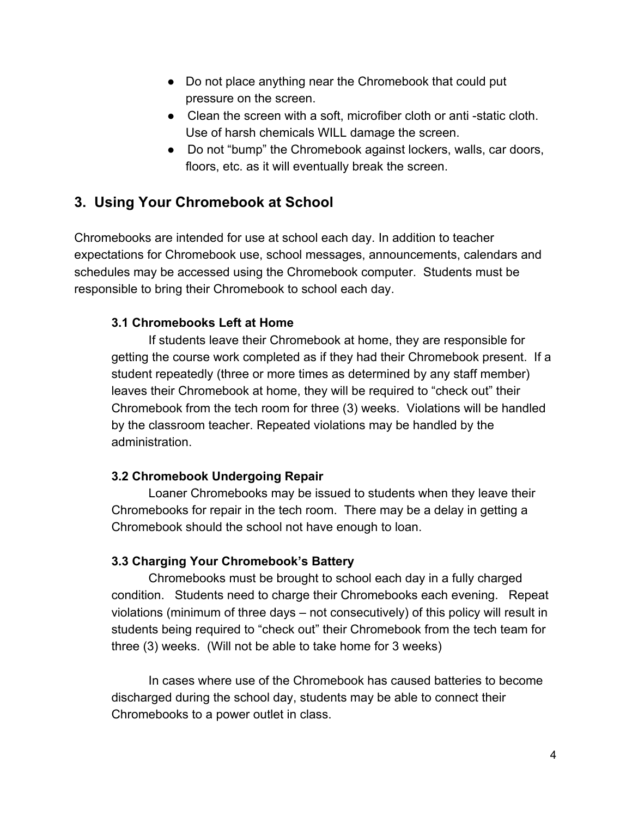- Do not place anything near the Chromebook that could put pressure on the screen.
- Clean the screen with a soft, microfiber cloth or anti -static cloth. Use of harsh chemicals WILL damage the screen.
- Do not "bump" the Chromebook against lockers, walls, car doors, floors, etc. as it will eventually break the screen.

# **3. Using Your Chromebook at School**

Chromebooks are intended for use at school each day. In addition to teacher expectations for Chromebook use, school messages, announcements, calendars and schedules may be accessed using the Chromebook computer. Students must be responsible to bring their Chromebook to school each day.

#### **3.1 Chromebooks Left at Home**

If students leave their Chromebook at home, they are responsible for getting the course work completed as if they had their Chromebook present. If a student repeatedly (three or more times as determined by any staff member) leaves their Chromebook at home, they will be required to "check out" their Chromebook from the tech room for three (3) weeks. Violations will be handled by the classroom teacher. Repeated violations may be handled by the administration.

#### **3.2 Chromebook Undergoing Repair**

Loaner Chromebooks may be issued to students when they leave their Chromebooks for repair in the tech room. There may be a delay in getting a Chromebook should the school not have enough to loan.

#### **3.3 Charging Your Chromebook's Battery**

Chromebooks must be brought to school each day in a fully charged condition. Students need to charge their Chromebooks each evening. Repeat violations (minimum of three days – not consecutively) of this policy will result in students being required to "check out" their Chromebook from the tech team for three (3) weeks. (Will not be able to take home for 3 weeks)

In cases where use of the Chromebook has caused batteries to become discharged during the school day, students may be able to connect their Chromebooks to a power outlet in class.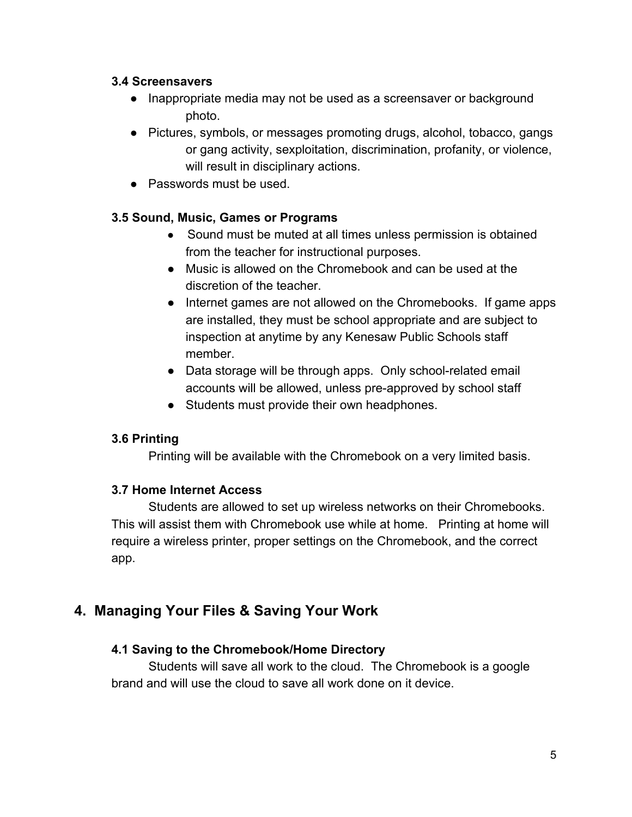#### **3.4 Screensavers**

- Inappropriate media may not be used as a screensaver or background photo.
- Pictures, symbols, or messages promoting drugs, alcohol, tobacco, gangs or gang activity, sexploitation, discrimination, profanity, or violence, will result in disciplinary actions.
- Passwords must be used.

#### **3.5 Sound, Music, Games or Programs**

- Sound must be muted at all times unless permission is obtained from the teacher for instructional purposes.
- Music is allowed on the Chromebook and can be used at the discretion of the teacher.
- Internet games are not allowed on the Chromebooks. If game apps are installed, they must be school appropriate and are subject to inspection at anytime by any Kenesaw Public Schools staff member.
- Data storage will be through apps. Only school-related email accounts will be allowed, unless pre-approved by school staff
- Students must provide their own headphones.

# **3.6 Printing**

Printing will be available with the Chromebook on a very limited basis.

#### **3.7 Home Internet Access**

Students are allowed to set up wireless networks on their Chromebooks. This will assist them with Chromebook use while at home. Printing at home will require a wireless printer, proper settings on the Chromebook, and the correct app.

# **4. Managing Your Files & Saving Your Work**

#### **4.1 Saving to the Chromebook/Home Directory**

Students will save all work to the cloud. The Chromebook is a google brand and will use the cloud to save all work done on it device.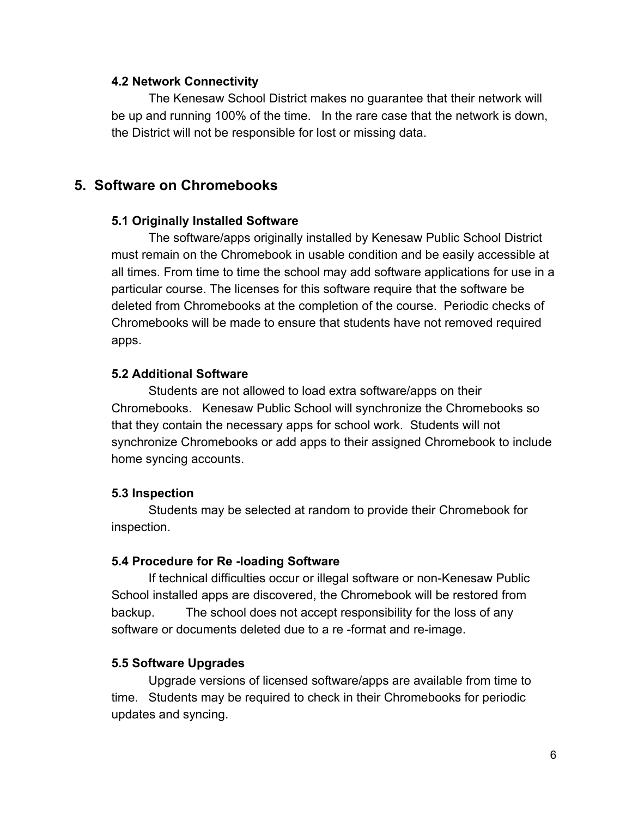#### **4.2 Network Connectivity**

The Kenesaw School District makes no guarantee that their network will be up and running 100% of the time. In the rare case that the network is down, the District will not be responsible for lost or missing data.

# **5. Software on Chromebooks**

#### **5.1 Originally Installed Software**

The software/apps originally installed by Kenesaw Public School District must remain on the Chromebook in usable condition and be easily accessible at all times. From time to time the school may add software applications for use in a particular course. The licenses for this software require that the software be deleted from Chromebooks at the completion of the course. Periodic checks of Chromebooks will be made to ensure that students have not removed required apps.

#### **5.2 Additional Software**

Students are not allowed to load extra software/apps on their Chromebooks. Kenesaw Public School will synchronize the Chromebooks so that they contain the necessary apps for school work. Students will not synchronize Chromebooks or add apps to their assigned Chromebook to include home syncing accounts.

#### **5.3 Inspection**

Students may be selected at random to provide their Chromebook for inspection.

#### **5.4 Procedure for Re -loading Software**

If technical difficulties occur or illegal software or non-Kenesaw Public School installed apps are discovered, the Chromebook will be restored from backup. The school does not accept responsibility for the loss of any software or documents deleted due to a re -format and re-image.

#### **5.5 Software Upgrades**

Upgrade versions of licensed software/apps are available from time to time. Students may be required to check in their Chromebooks for periodic updates and syncing.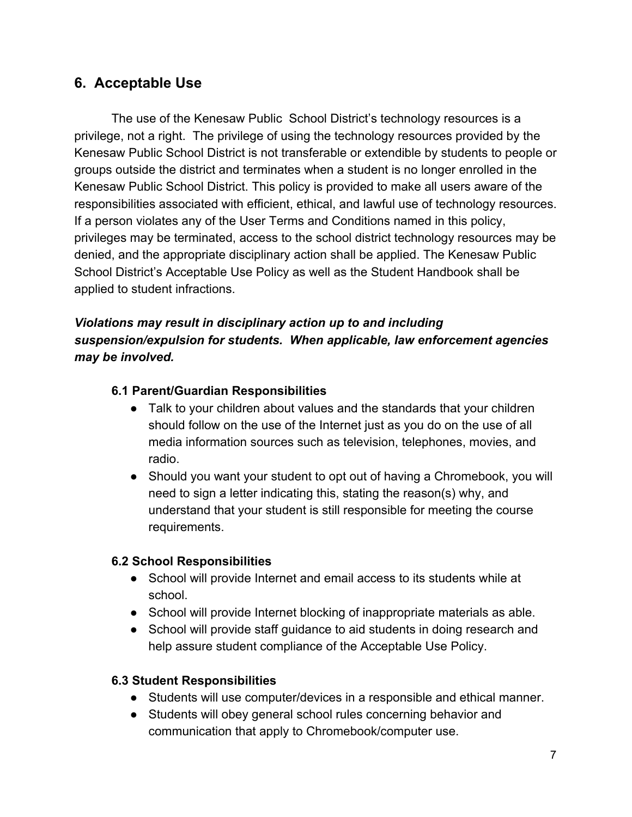# **6. Acceptable Use**

The use of the Kenesaw Public School District's technology resources is a privilege, not a right. The privilege of using the technology resources provided by the Kenesaw Public School District is not transferable or extendible by students to people or groups outside the district and terminates when a student is no longer enrolled in the Kenesaw Public School District. This policy is provided to make all users aware of the responsibilities associated with efficient, ethical, and lawful use of technology resources. If a person violates any of the User Terms and Conditions named in this policy, privileges may be terminated, access to the school district technology resources may be denied, and the appropriate disciplinary action shall be applied. The Kenesaw Public School District's Acceptable Use Policy as well as the Student Handbook shall be applied to student infractions.

# *Violations may result in disciplinary action up to and including suspension/expulsion for students. When applicable, law enforcement agencies may be involved.*

#### **6.1 Parent/Guardian Responsibilities**

- Talk to your children about values and the standards that your children should follow on the use of the Internet just as you do on the use of all media information sources such as television, telephones, movies, and radio.
- Should you want your student to opt out of having a Chromebook, you will need to sign a letter indicating this, stating the reason(s) why, and understand that your student is still responsible for meeting the course requirements.

#### **6.2 School Responsibilities**

- School will provide Internet and email access to its students while at school.
- School will provide Internet blocking of inappropriate materials as able.
- School will provide staff guidance to aid students in doing research and help assure student compliance of the Acceptable Use Policy.

#### **6.3 Student Responsibilities**

- Students will use computer/devices in a responsible and ethical manner.
- Students will obey general school rules concerning behavior and communication that apply to Chromebook/computer use.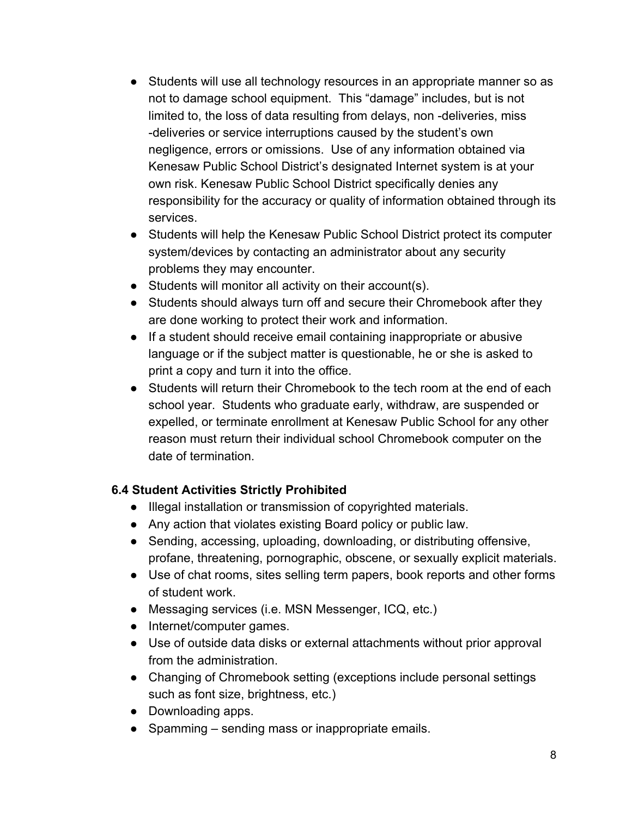- Students will use all technology resources in an appropriate manner so as not to damage school equipment. This "damage" includes, but is not limited to, the loss of data resulting from delays, non -deliveries, miss -deliveries or service interruptions caused by the student's own negligence, errors or omissions. Use of any information obtained via Kenesaw Public School District's designated Internet system is at your own risk. Kenesaw Public School District specifically denies any responsibility for the accuracy or quality of information obtained through its services.
- Students will help the Kenesaw Public School District protect its computer system/devices by contacting an administrator about any security problems they may encounter.
- Students will monitor all activity on their account(s).
- Students should always turn off and secure their Chromebook after they are done working to protect their work and information.
- If a student should receive email containing inappropriate or abusive language or if the subject matter is questionable, he or she is asked to print a copy and turn it into the office.
- Students will return their Chromebook to the tech room at the end of each school year. Students who graduate early, withdraw, are suspended or expelled, or terminate enrollment at Kenesaw Public School for any other reason must return their individual school Chromebook computer on the date of termination.

# **6.4 Student Activities Strictly Prohibited**

- Illegal installation or transmission of copyrighted materials.
- Any action that violates existing Board policy or public law.
- Sending, accessing, uploading, downloading, or distributing offensive, profane, threatening, pornographic, obscene, or sexually explicit materials.
- Use of chat rooms, sites selling term papers, book reports and other forms of student work.
- Messaging services (i.e. MSN Messenger, ICQ, etc.)
- Internet/computer games.
- Use of outside data disks or external attachments without prior approval from the administration.
- Changing of Chromebook setting (exceptions include personal settings such as font size, brightness, etc.)
- Downloading apps.
- Spamming sending mass or inappropriate emails.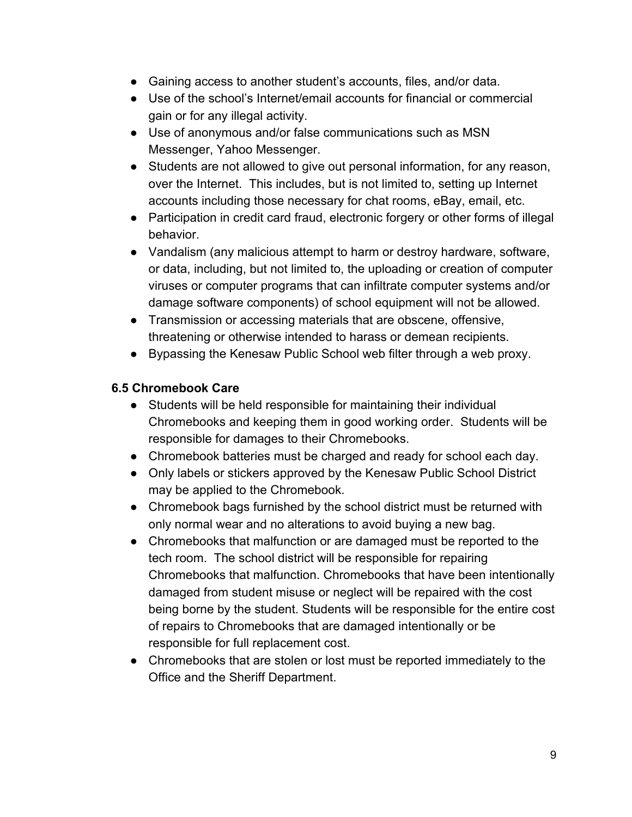- Gaining access to another student's accounts, files, and/or data.
- Use of the school's Internet/email accounts for financial or commercial gain or for any illegal activity.
- Use of anonymous and/or false communications such as MSN Messenger, Yahoo Messenger.
- Students are not allowed to give out personal information, for any reason, over the Internet. This includes, but is not limited to, setting up Internet accounts including those necessary for chat rooms, eBay, email, etc.
- Participation in credit card fraud, electronic forgery or other forms of illegal behavior.
- Vandalism (any malicious attempt to harm or destroy hardware, software, or data, including, but not limited to, the uploading or creation of computer viruses or computer programs that can infiltrate computer systems and/or damage software components) of school equipment will not be allowed.
- Transmission or accessing materials that are obscene, offensive, threatening or otherwise intended to harass or demean recipients.
- Bypassing the Kenesaw Public School web filter through a web proxy.

# **6.5 Chromebook Care**

- Students will be held responsible for maintaining their individual Chromebooks and keeping them in good working order. Students will be responsible for damages to their Chromebooks.
- Chromebook batteries must be charged and ready for school each day.
- Only labels or stickers approved by the Kenesaw Public School District may be applied to the Chromebook.
- Chromebook bags furnished by the school district must be returned with only normal wear and no alterations to avoid buying a new bag.
- Chromebooks that malfunction or are damaged must be reported to the tech room. The school district will be responsible for repairing Chromebooks that malfunction. Chromebooks that have been intentionally damaged from student misuse or neglect will be repaired with the cost being borne by the student. Students will be responsible for the entire cost of repairs to Chromebooks that are damaged intentionally or be responsible for full replacement cost.
- Chromebooks that are stolen or lost must be reported immediately to the Office and the Sheriff Department.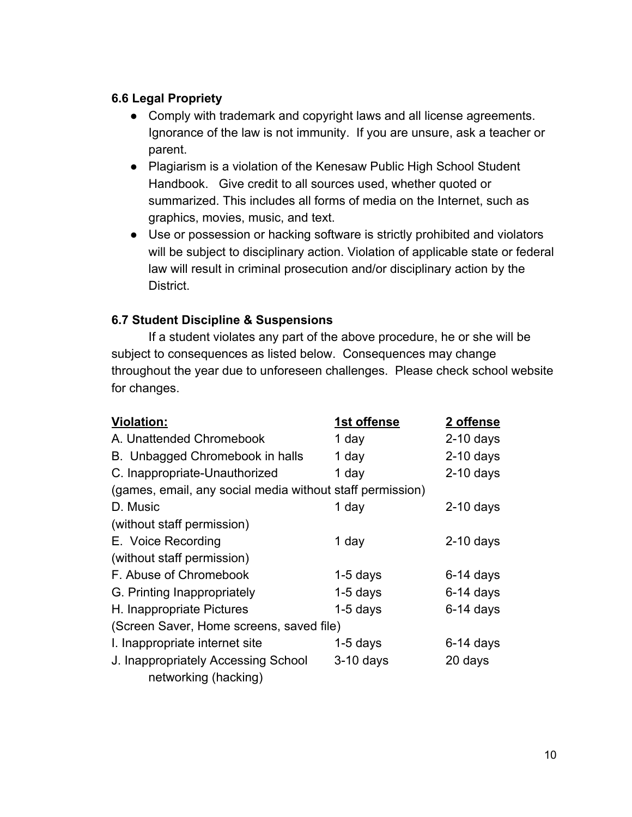#### **6.6 Legal Propriety**

- Comply with trademark and copyright laws and all license agreements. Ignorance of the law is not immunity. If you are unsure, ask a teacher or parent.
- Plagiarism is a violation of the Kenesaw Public High School Student Handbook. Give credit to all sources used, whether quoted or summarized. This includes all forms of media on the Internet, such as graphics, movies, music, and text.
- Use or possession or hacking software is strictly prohibited and violators will be subject to disciplinary action. Violation of applicable state or federal law will result in criminal prosecution and/or disciplinary action by the District.

# **6.7 Student Discipline & Suspensions**

If a student violates any part of the above procedure, he or she will be subject to consequences as listed below. Consequences may change throughout the year due to unforeseen challenges. Please check school website for changes.

| Violation:                                                | 1st offense | 2 offense   |  |
|-----------------------------------------------------------|-------------|-------------|--|
| A. Unattended Chromebook                                  | 1 day       | $2-10$ days |  |
| B. Unbagged Chromebook in halls                           | 1 day       | $2-10$ days |  |
| C. Inappropriate-Unauthorized                             | 1 day       | $2-10$ days |  |
| (games, email, any social media without staff permission) |             |             |  |
| D. Music                                                  | 1 day       | $2-10$ days |  |
| (without staff permission)                                |             |             |  |
| E. Voice Recording                                        | 1 day       | $2-10$ days |  |
| (without staff permission)                                |             |             |  |
| F. Abuse of Chromebook                                    | $1-5$ days  | $6-14$ days |  |
| G. Printing Inappropriately                               | $1-5$ days  | $6-14$ days |  |
| H. Inappropriate Pictures                                 | $1-5$ days  | $6-14$ days |  |
| (Screen Saver, Home screens, saved file)                  |             |             |  |
| I. Inappropriate internet site                            | $1-5$ days  | $6-14$ days |  |
| J. Inappropriately Accessing School                       | $3-10$ days | 20 days     |  |
| networking (hacking)                                      |             |             |  |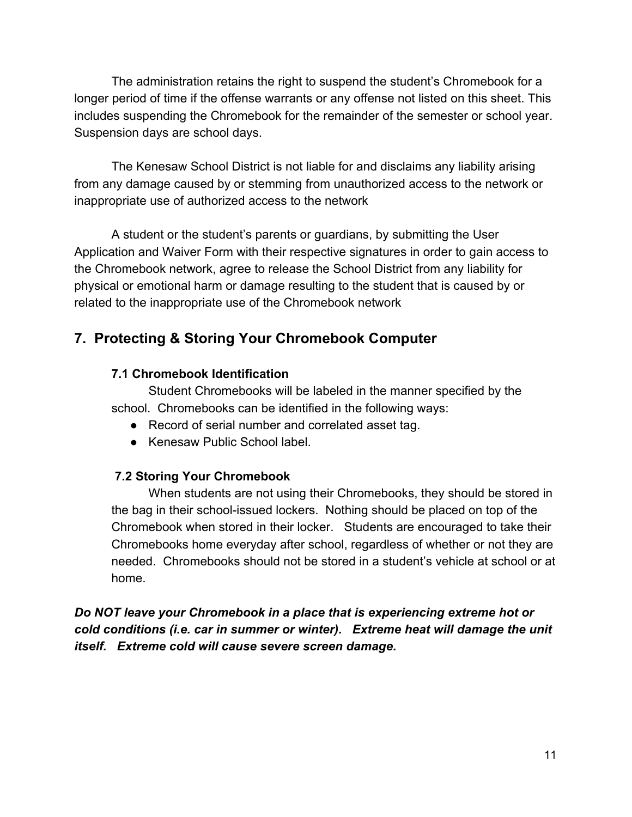The administration retains the right to suspend the student's Chromebook for a longer period of time if the offense warrants or any offense not listed on this sheet. This includes suspending the Chromebook for the remainder of the semester or school year. Suspension days are school days.

The Kenesaw School District is not liable for and disclaims any liability arising from any damage caused by or stemming from unauthorized access to the network or inappropriate use of authorized access to the network

A student or the student's parents or guardians, by submitting the User Application and Waiver Form with their respective signatures in order to gain access to the Chromebook network, agree to release the School District from any liability for physical or emotional harm or damage resulting to the student that is caused by or related to the inappropriate use of the Chromebook network

# **7. Protecting & Storing Your Chromebook Computer**

# **7.1 Chromebook Identification**

Student Chromebooks will be labeled in the manner specified by the school. Chromebooks can be identified in the following ways:

- Record of serial number and correlated asset tag.
- Kenesaw Public School label.

#### **7.2 Storing Your Chromebook**

When students are not using their Chromebooks, they should be stored in the bag in their school-issued lockers. Nothing should be placed on top of the Chromebook when stored in their locker. Students are encouraged to take their Chromebooks home everyday after school, regardless of whether or not they are needed. Chromebooks should not be stored in a student's vehicle at school or at home.

*Do NOT leave your Chromebook in a place that is experiencing extreme hot or cold conditions (i.e. car in summer or winter). Extreme heat will damage the unit itself. Extreme cold will cause severe screen damage.*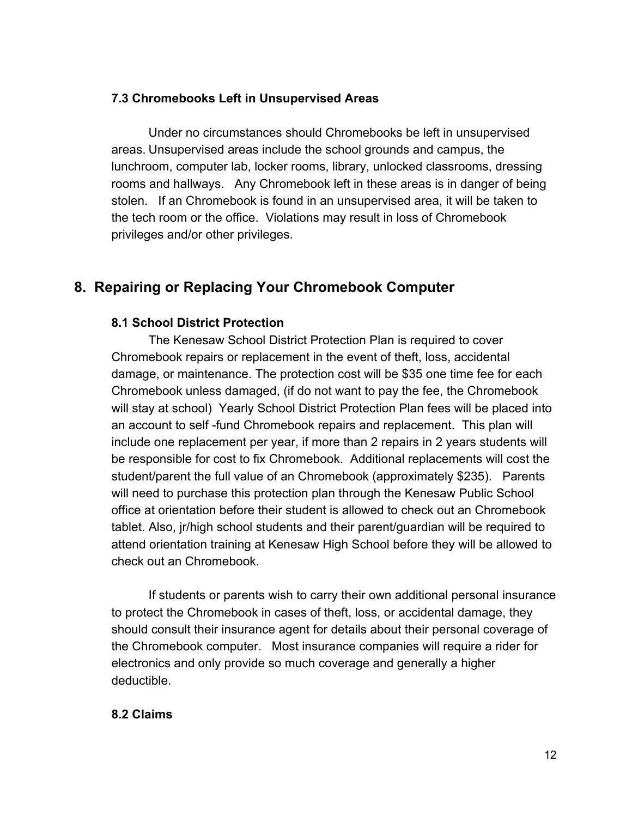#### **7.3 Chromebooks Left in Unsupervised Areas**

Under no circumstances should Chromebooks be left in unsupervised areas. Unsupervised areas include the school grounds and campus, the lunchroom, computer lab, locker rooms, library, unlocked classrooms, dressing rooms and hallways. Any Chromebook left in these areas is in danger of being stolen. If an Chromebook is found in an unsupervised area, it will be taken to the tech room or the office. Violations may result in loss of Chromebook privileges and/or other privileges.

# **8. Repairing or Replacing Your Chromebook Computer**

#### **8.1 School District Protection**

The Kenesaw School District Protection Plan is required to cover Chromebook repairs or replacement in the event of theft, loss, accidental damage, or maintenance. The protection cost will be \$35 one time fee for each Chromebook unless damaged, (if do not want to pay the fee, the Chromebook will stay at school) Yearly School District Protection Plan fees will be placed into an account to self -fund Chromebook repairs and replacement. This plan will include one replacement per year, if more than 2 repairs in 2 years students will be responsible for cost to fix Chromebook. Additional replacements will cost the student/parent the full value of an Chromebook (approximately \$235). Parents will need to purchase this protection plan through the Kenesaw Public School office at orientation before their student is allowed to check out an Chromebook tablet. Also, jr/high school students and their parent/guardian will be required to attend orientation training at Kenesaw High School before they will be allowed to check out an Chromebook.

If students or parents wish to carry their own additional personal insurance to protect the Chromebook in cases of theft, loss, or accidental damage, they should consult their insurance agent for details about their personal coverage of the Chromebook computer. Most insurance companies will require a rider for electronics and only provide so much coverage and generally a higher deductible.

#### **8.2 Claims**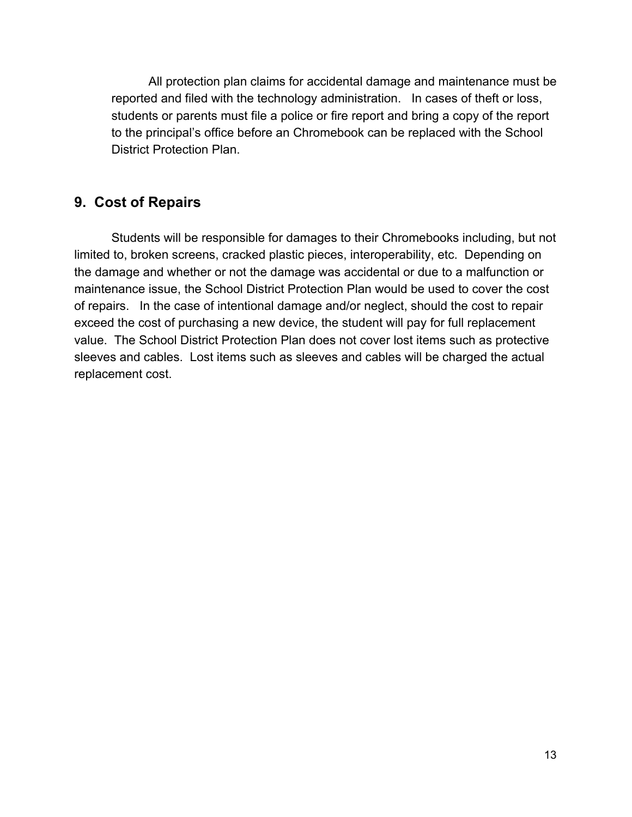All protection plan claims for accidental damage and maintenance must be reported and filed with the technology administration. In cases of theft or loss, students or parents must file a police or fire report and bring a copy of the report to the principal's office before an Chromebook can be replaced with the School District Protection Plan.

# **9. Cost of Repairs**

Students will be responsible for damages to their Chromebooks including, but not limited to, broken screens, cracked plastic pieces, interoperability, etc. Depending on the damage and whether or not the damage was accidental or due to a malfunction or maintenance issue, the School District Protection Plan would be used to cover the cost of repairs. In the case of intentional damage and/or neglect, should the cost to repair exceed the cost of purchasing a new device, the student will pay for full replacement value. The School District Protection Plan does not cover lost items such as protective sleeves and cables. Lost items such as sleeves and cables will be charged the actual replacement cost.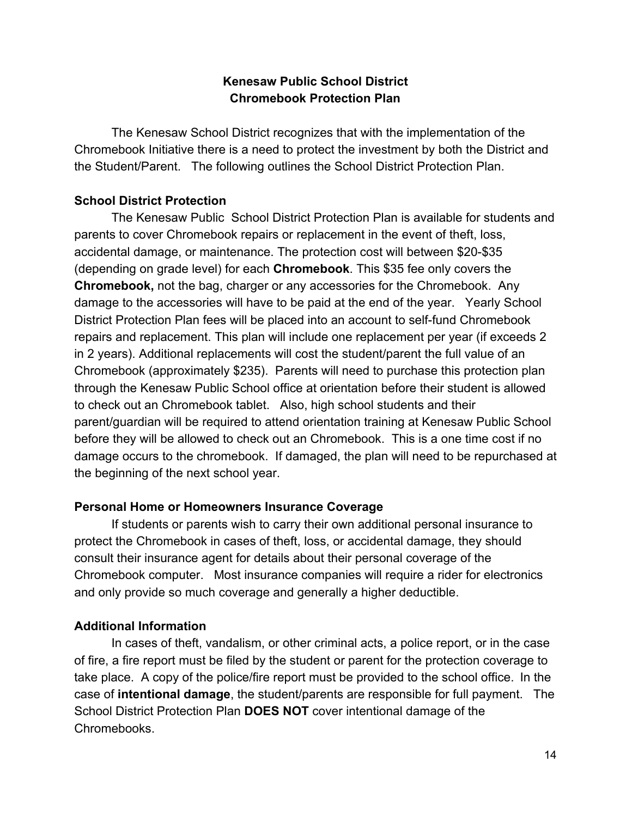# **Kenesaw Public School District Chromebook Protection Plan**

The Kenesaw School District recognizes that with the implementation of the Chromebook Initiative there is a need to protect the investment by both the District and the Student/Parent. The following outlines the School District Protection Plan.

#### **School District Protection**

The Kenesaw Public School District Protection Plan is available for students and parents to cover Chromebook repairs or replacement in the event of theft, loss, accidental damage, or maintenance. The protection cost will between \$20-\$35 (depending on grade level) for each **Chromebook**. This \$35 fee only covers the **Chromebook,** not the bag, charger or any accessories for the Chromebook. Any damage to the accessories will have to be paid at the end of the year. Yearly School District Protection Plan fees will be placed into an account to self-fund Chromebook repairs and replacement. This plan will include one replacement per year (if exceeds 2 in 2 years). Additional replacements will cost the student/parent the full value of an Chromebook (approximately \$235). Parents will need to purchase this protection plan through the Kenesaw Public School office at orientation before their student is allowed to check out an Chromebook tablet. Also, high school students and their parent/guardian will be required to attend orientation training at Kenesaw Public School before they will be allowed to check out an Chromebook. This is a one time cost if no damage occurs to the chromebook. If damaged, the plan will need to be repurchased at the beginning of the next school year.

# **Personal Home or Homeowners Insurance Coverage**

If students or parents wish to carry their own additional personal insurance to protect the Chromebook in cases of theft, loss, or accidental damage, they should consult their insurance agent for details about their personal coverage of the Chromebook computer. Most insurance companies will require a rider for electronics and only provide so much coverage and generally a higher deductible.

# **Additional Information**

In cases of theft, vandalism, or other criminal acts, a police report, or in the case of fire, a fire report must be filed by the student or parent for the protection coverage to take place. A copy of the police/fire report must be provided to the school office. In the case of **intentional damage**, the student/parents are responsible for full payment. The School District Protection Plan **DOES NOT** cover intentional damage of the Chromebooks.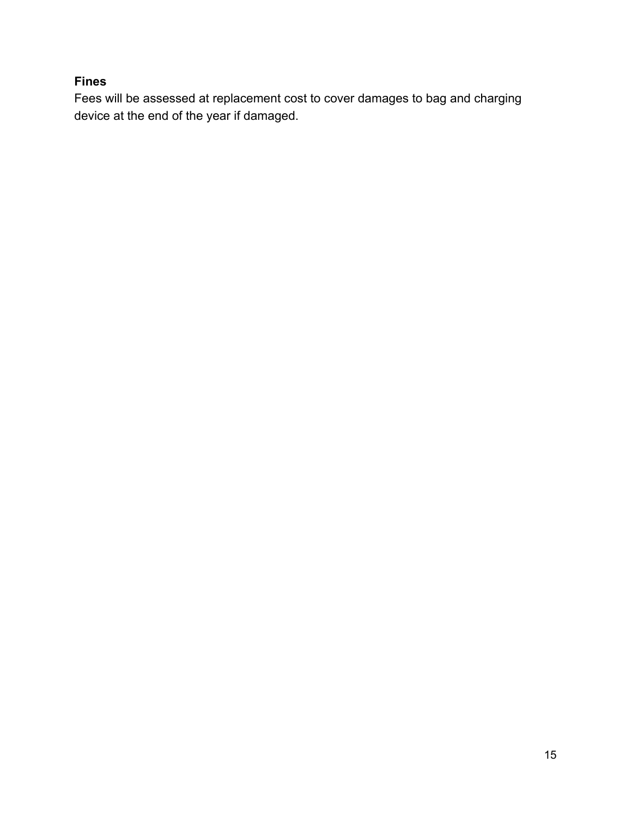### **Fines**

Fees will be assessed at replacement cost to cover damages to bag and charging device at the end of the year if damaged.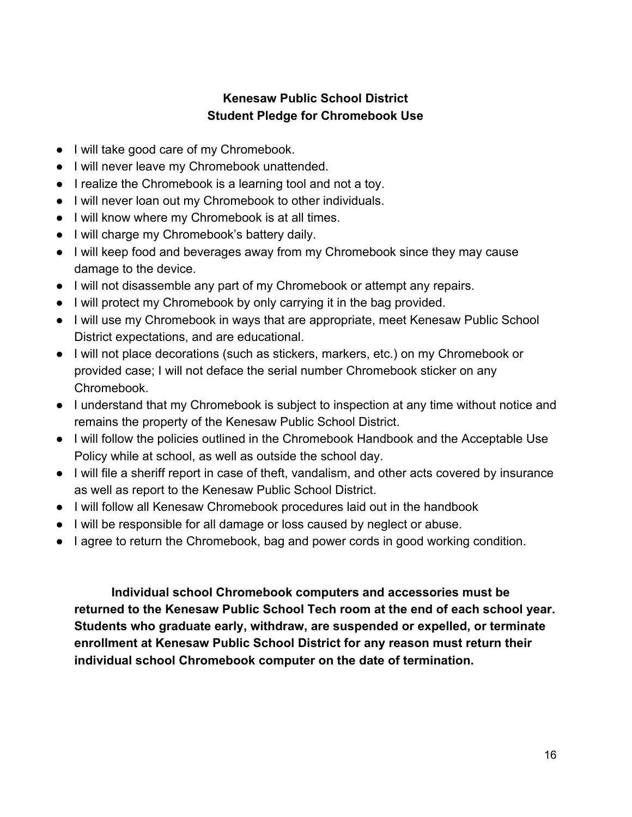# **Kenesaw Public School District Student Pledge for Chromebook Use**

- I will take good care of my Chromebook.
- I will never leave my Chromebook unattended.
- I realize the Chromebook is a learning tool and not a toy.
- I will never loan out my Chromebook to other individuals.
- I will know where my Chromebook is at all times.
- I will charge my Chromebook's battery daily.
- I will keep food and beverages away from my Chromebook since they may cause damage to the device.
- I will not disassemble any part of my Chromebook or attempt any repairs.
- I will protect my Chromebook by only carrying it in the bag provided.
- I will use my Chromebook in ways that are appropriate, meet Kenesaw Public School District expectations, and are educational.
- I will not place decorations (such as stickers, markers, etc.) on my Chromebook or provided case; I will not deface the serial number Chromebook sticker on any Chromebook.
- I understand that my Chromebook is subject to inspection at any time without notice and remains the property of the Kenesaw Public School District.
- I will follow the policies outlined in the Chromebook Handbook and the Acceptable Use Policy while at school, as well as outside the school day.
- I will file a sheriff report in case of theft, vandalism, and other acts covered by insurance as well as report to the Kenesaw Public School District.
- I will follow all Kenesaw Chromebook procedures laid out in the handbook
- I will be responsible for all damage or loss caused by neglect or abuse.
- I agree to return the Chromebook, bag and power cords in good working condition.

**Individual school Chromebook computers and accessories must be returned to the Kenesaw Public School Tech room at the end of each school year. Students who graduate early, withdraw, are suspended or expelled, or terminate enrollment at Kenesaw Public School District for any reason must return their individual school Chromebook computer on the date of termination.**